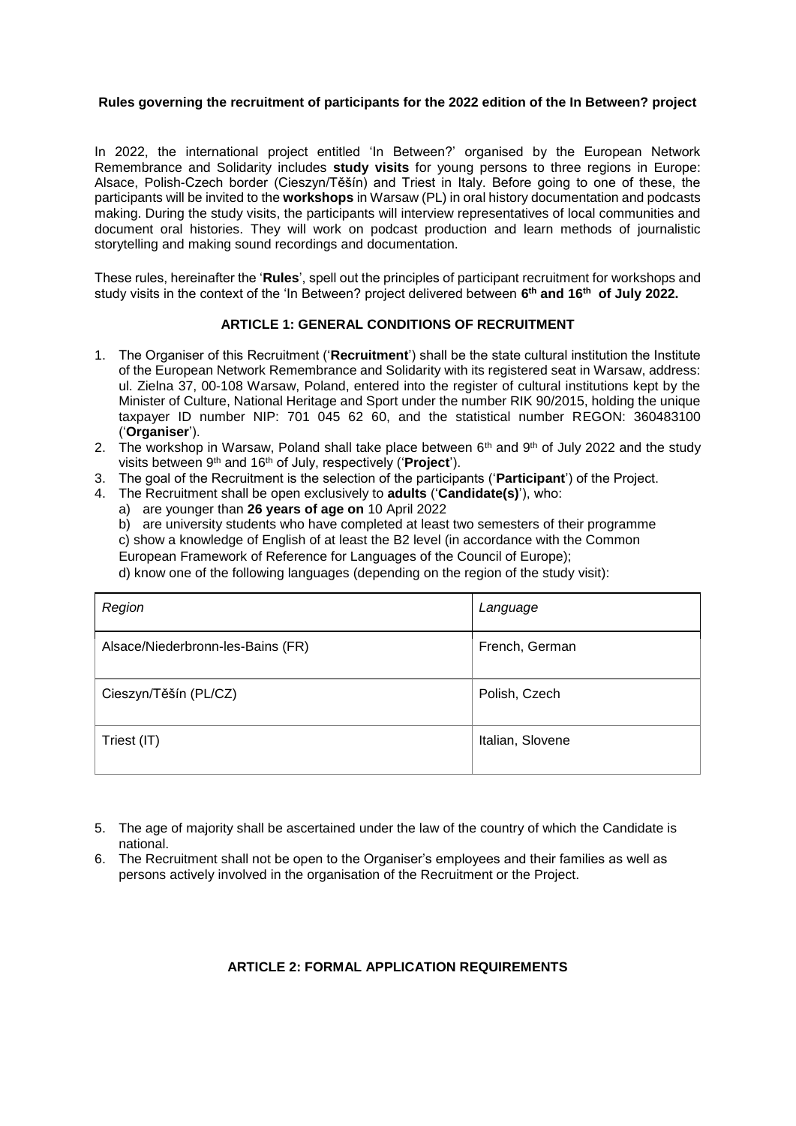#### **Rules governing the recruitment of participants for the 2022 edition of the In Between? project**

In 2022, the international project entitled 'In Between?' organised by the European Network Remembrance and Solidarity includes **study visits** for young persons to three regions in Europe: Alsace, Polish-Czech border (Cieszyn/Těšín) and Triest in Italy. Before going to one of these, the participants will be invited to the **workshops** in Warsaw (PL) in oral history documentation and podcasts making. During the study visits, the participants will interview representatives of local communities and document oral histories. They will work on podcast production and learn methods of journalistic storytelling and making sound recordings and documentation.

These rules, hereinafter the '**Rules**', spell out the principles of participant recruitment for workshops and study visits in the context of the 'In Between? project delivered between **6 th and 16th of July 2022.**

# **ARTICLE 1: GENERAL CONDITIONS OF RECRUITMENT**

- 1. The Organiser of this Recruitment ('**Recruitment**') shall be the state cultural institution the Institute of the European Network Remembrance and Solidarity with its registered seat in Warsaw, address: ul. Zielna 37, 00-108 Warsaw, Poland, entered into the register of cultural institutions kept by the Minister of Culture, National Heritage and Sport under the number RIK 90/2015, holding the unique taxpayer ID number NIP: 701 045 62 60, and the statistical number REGON: 360483100 ('**Organiser**').
- 2. The workshop in Warsaw, Poland shall take place between  $6<sup>th</sup>$  and  $9<sup>th</sup>$  of July 2022 and the study visits between 9th and 16th of July, respectively ('**Project**').
- 3. The goal of the Recruitment is the selection of the participants ('**Participant**') of the Project.
- 4. The Recruitment shall be open exclusively to **adults** ('**Candidate(s)**'), who:
	- a) are younger than **26 years of age on** 10 April 2022

b) are university students who have completed at least two semesters of their programme c) show a knowledge of English of at least the B2 level (in accordance with the Common

European Framework of Reference for Languages of the Council of Europe);

d) know one of the following languages (depending on the region of the study visit):

| Region                            | Language         |
|-----------------------------------|------------------|
| Alsace/Niederbronn-les-Bains (FR) | French, German   |
| Cieszyn/Těšín (PL/CZ)             | Polish, Czech    |
| Triest (IT)                       | Italian, Slovene |

- 5. The age of majority shall be ascertained under the law of the country of which the Candidate is national.
- 6. The Recruitment shall not be open to the Organiser's employees and their families as well as persons actively involved in the organisation of the Recruitment or the Project.

# **ARTICLE 2: FORMAL APPLICATION REQUIREMENTS**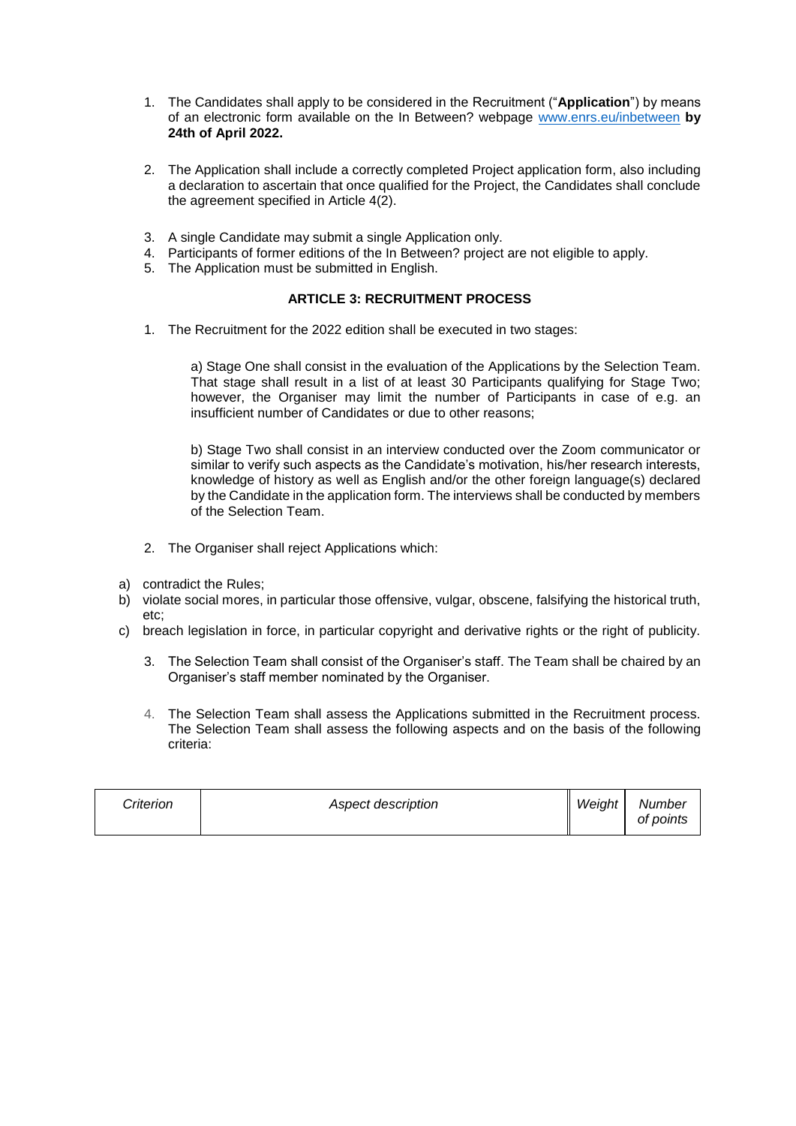- 1. The Candidates shall apply to be considered in the Recruitment ("**Application**") by means of an electronic form available on the In Between? webpage [www.enrs.eu/inbetween](http://www.enrs.eu/inbetween) **by 24th of April 2022.**
- 2. The Application shall include a correctly completed Project application form, also including a declaration to ascertain that once qualified for the Project, the Candidates shall conclude the agreement specified in Article  $4(2)$ .
- 3. A single Candidate may submit a single Application only.
- 4. Participants of former editions of the In Between? project are not eligible to apply.
- 5. The Application must be submitted in English.

#### **ARTICLE 3: RECRUITMENT PROCESS**

1. The Recruitment for the 2022 edition shall be executed in two stages:

a) Stage One shall consist in the evaluation of the Applications by the Selection Team. That stage shall result in a list of at least 30 Participants qualifying for Stage Two; however, the Organiser may limit the number of Participants in case of e.g. an insufficient number of Candidates or due to other reasons;

b) Stage Two shall consist in an interview conducted over the Zoom communicator or similar to verify such aspects as the Candidate's motivation, his/her research interests, knowledge of history as well as English and/or the other foreign language(s) declared by the Candidate in the application form. The interviews shall be conducted by members of the Selection Team.

- 2. The Organiser shall reject Applications which:
- a) contradict the Rules;
- b) violate social mores, in particular those offensive, vulgar, obscene, falsifying the historical truth, etc;
- c) breach legislation in force, in particular copyright and derivative rights or the right of publicity.
	- 3. The Selection Team shall consist of the Organiser's staff. The Team shall be chaired by an Organiser's staff member nominated by the Organiser.
	- 4. The Selection Team shall assess the Applications submitted in the Recruitment process. The Selection Team shall assess the following aspects and on the basis of the following criteria:

| Criterion | Aspect description | Weight | Number<br>of points |
|-----------|--------------------|--------|---------------------|
|-----------|--------------------|--------|---------------------|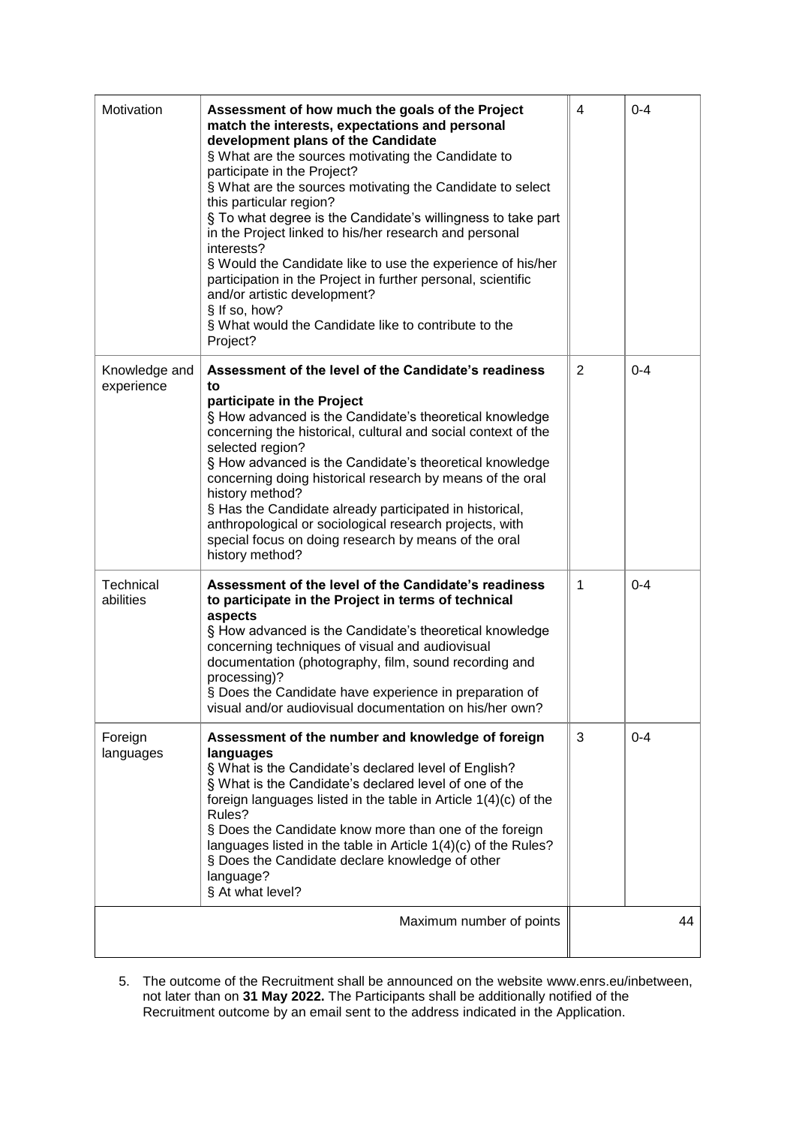| Motivation                  | Assessment of how much the goals of the Project<br>match the interests, expectations and personal<br>development plans of the Candidate<br>§ What are the sources motivating the Candidate to<br>participate in the Project?<br>§ What are the sources motivating the Candidate to select<br>this particular region?<br>§ To what degree is the Candidate's willingness to take part<br>in the Project linked to his/her research and personal<br>interests?<br>§ Would the Candidate like to use the experience of his/her<br>participation in the Project in further personal, scientific<br>and/or artistic development?<br>§ If so, how?<br>§ What would the Candidate like to contribute to the<br>Project? | 4              | $0 - 4$ |
|-----------------------------|------------------------------------------------------------------------------------------------------------------------------------------------------------------------------------------------------------------------------------------------------------------------------------------------------------------------------------------------------------------------------------------------------------------------------------------------------------------------------------------------------------------------------------------------------------------------------------------------------------------------------------------------------------------------------------------------------------------|----------------|---------|
| Knowledge and<br>experience | Assessment of the level of the Candidate's readiness<br>to<br>participate in the Project<br>§ How advanced is the Candidate's theoretical knowledge<br>concerning the historical, cultural and social context of the<br>selected region?<br>§ How advanced is the Candidate's theoretical knowledge<br>concerning doing historical research by means of the oral<br>history method?<br>§ Has the Candidate already participated in historical,<br>anthropological or sociological research projects, with<br>special focus on doing research by means of the oral<br>history method?                                                                                                                             | $\overline{2}$ | $0 - 4$ |
| Technical<br>abilities      | Assessment of the level of the Candidate's readiness<br>to participate in the Project in terms of technical<br>aspects<br>§ How advanced is the Candidate's theoretical knowledge<br>concerning techniques of visual and audiovisual<br>documentation (photography, film, sound recording and<br>processing)?<br>§ Does the Candidate have experience in preparation of<br>visual and/or audiovisual documentation on his/her own?                                                                                                                                                                                                                                                                               | 1              | $0 - 4$ |
| Foreign<br>languages        | Assessment of the number and knowledge of foreign<br>languages<br>§ What is the Candidate's declared level of English?<br>§ What is the Candidate's declared level of one of the<br>foreign languages listed in the table in Article $1(4)(c)$ of the<br>Rules?<br>§ Does the Candidate know more than one of the foreign<br>languages listed in the table in Article 1(4)(c) of the Rules?<br>§ Does the Candidate declare knowledge of other<br>language?<br>§ At what level?                                                                                                                                                                                                                                  | 3              | $0 - 4$ |
|                             | Maximum number of points                                                                                                                                                                                                                                                                                                                                                                                                                                                                                                                                                                                                                                                                                         |                | 44      |

5. The outcome of the Recruitment shall be announced on the website [www.enrs.eu/inbetween,](http://www.inbetween.enrs.eu/) not later than on **31 May 2022.** The Participants shall be additionally notified of the Recruitment outcome by an email sent to the address indicated in the Application.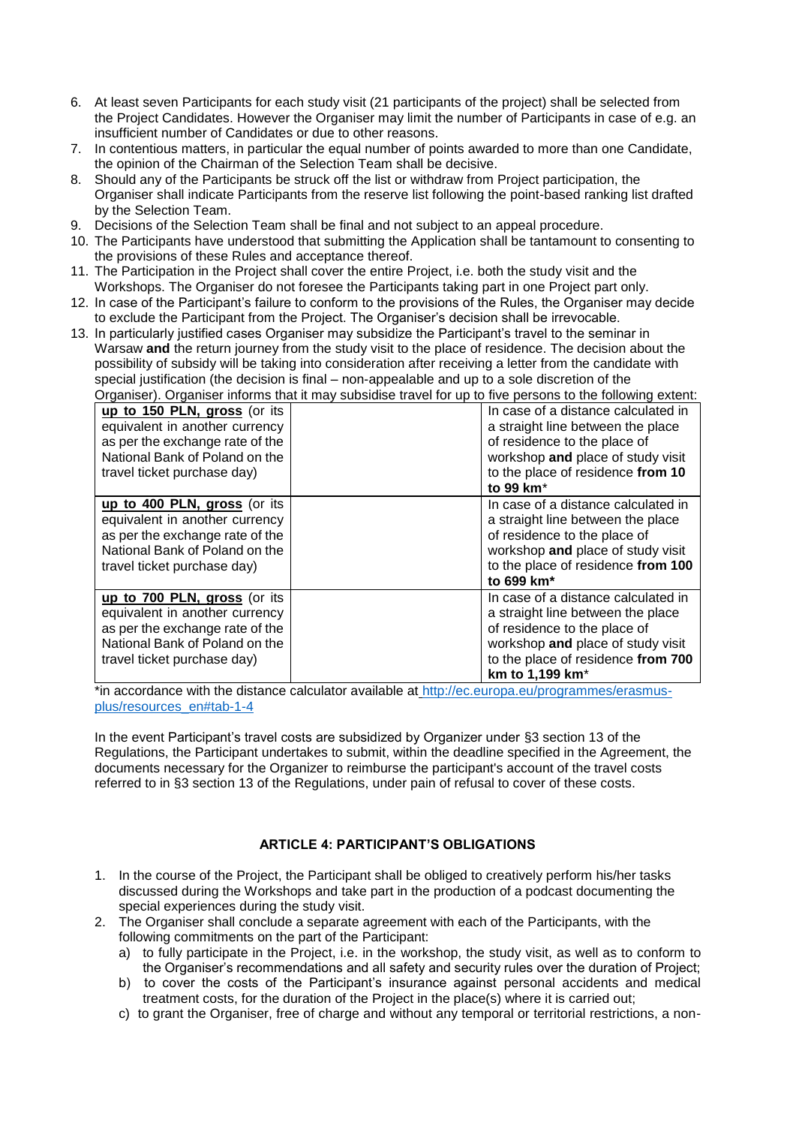- 6. At least seven Participants for each study visit (21 participants of the project) shall be selected from the Project Candidates. However the Organiser may limit the number of Participants in case of e.g. an insufficient number of Candidates or due to other reasons.
- 7. In contentious matters, in particular the equal number of points awarded to more than one Candidate, the opinion of the Chairman of the Selection Team shall be decisive.
- 8. Should any of the Participants be struck off the list or withdraw from Project participation, the Organiser shall indicate Participants from the reserve list following the point-based ranking list drafted by the Selection Team.
- 9. Decisions of the Selection Team shall be final and not subject to an appeal procedure.
- 10. The Participants have understood that submitting the Application shall be tantamount to consenting to the provisions of these Rules and acceptance thereof.
- 11. The Participation in the Project shall cover the entire Project, i.e. both the study visit and the Workshops. The Organiser do not foresee the Participants taking part in one Project part only.
- 12. In case of the Participant's failure to conform to the provisions of the Rules, the Organiser may decide to exclude the Participant from the Project. The Organiser's decision shall be irrevocable.
- 13. In particularly justified cases Organiser may subsidize the Participant's travel to the seminar in Warsaw **and** the return journey from the study visit to the place of residence. The decision about the possibility of subsidy will be taking into consideration after receiving a letter from the candidate with special justification (the decision is final – non-appealable and up to a sole discretion of the Organiser). Organiser informs that it may subsidise travel for up to five persons to the following extent:

| Organiser). Organiser informs that it may subsidise travel for up to live persons to the following extent. |  |                                     |  |  |  |
|------------------------------------------------------------------------------------------------------------|--|-------------------------------------|--|--|--|
| up to 150 PLN, gross (or its                                                                               |  | In case of a distance calculated in |  |  |  |
| equivalent in another currency                                                                             |  | a straight line between the place   |  |  |  |
| as per the exchange rate of the                                                                            |  | of residence to the place of        |  |  |  |
| National Bank of Poland on the                                                                             |  | workshop and place of study visit   |  |  |  |
| travel ticket purchase day)                                                                                |  | to the place of residence from 10   |  |  |  |
|                                                                                                            |  | to 99 km <sup>*</sup>               |  |  |  |
| up to 400 PLN, gross (or its                                                                               |  | In case of a distance calculated in |  |  |  |
| equivalent in another currency                                                                             |  | a straight line between the place   |  |  |  |
| as per the exchange rate of the                                                                            |  | of residence to the place of        |  |  |  |
| National Bank of Poland on the                                                                             |  | workshop and place of study visit   |  |  |  |
| travel ticket purchase day)                                                                                |  | to the place of residence from 100  |  |  |  |
|                                                                                                            |  | to 699 km <sup>*</sup>              |  |  |  |
| up to 700 PLN, gross (or its                                                                               |  | In case of a distance calculated in |  |  |  |
| equivalent in another currency                                                                             |  | a straight line between the place   |  |  |  |
| as per the exchange rate of the                                                                            |  | of residence to the place of        |  |  |  |
| National Bank of Poland on the                                                                             |  | workshop and place of study visit   |  |  |  |
| travel ticket purchase day)                                                                                |  | to the place of residence from 700  |  |  |  |
|                                                                                                            |  | km to 1,199 km <sup>*</sup>         |  |  |  |
|                                                                                                            |  |                                     |  |  |  |

\*in accordance with the distance calculator available at [http://ec.europa.eu/programmes/erasmus](http://ec.europa.eu/programmes/erasmus-plus/resources_en#tab-1-4)[plus/resources\\_en#tab-1-4](http://ec.europa.eu/programmes/erasmus-plus/resources_en#tab-1-4)

In the event Participant's travel costs are subsidized by Organizer under §3 section 13 of the Regulations, the Participant undertakes to submit, within the deadline specified in the Agreement, the documents necessary for the Organizer to reimburse the participant's account of the travel costs referred to in §3 section 13 of the Regulations, under pain of refusal to cover of these costs.

# **ARTICLE 4: PARTICIPANT'S OBLIGATIONS**

- 1. In the course of the Project, the Participant shall be obliged to creatively perform his/her tasks discussed during the Workshops and take part in the production of a podcast documenting the special experiences during the study visit.
- 2. The Organiser shall conclude a separate agreement with each of the Participants, with the following commitments on the part of the Participant:
	- a) to fully participate in the Project, i.e. in the workshop, the study visit, as well as to conform to the Organiser's recommendations and all safety and security rules over the duration of Project;
	- b) to cover the costs of the Participant's insurance against personal accidents and medical treatment costs, for the duration of the Project in the place(s) where it is carried out;
	- c) to grant the Organiser, free of charge and without any temporal or territorial restrictions, a non-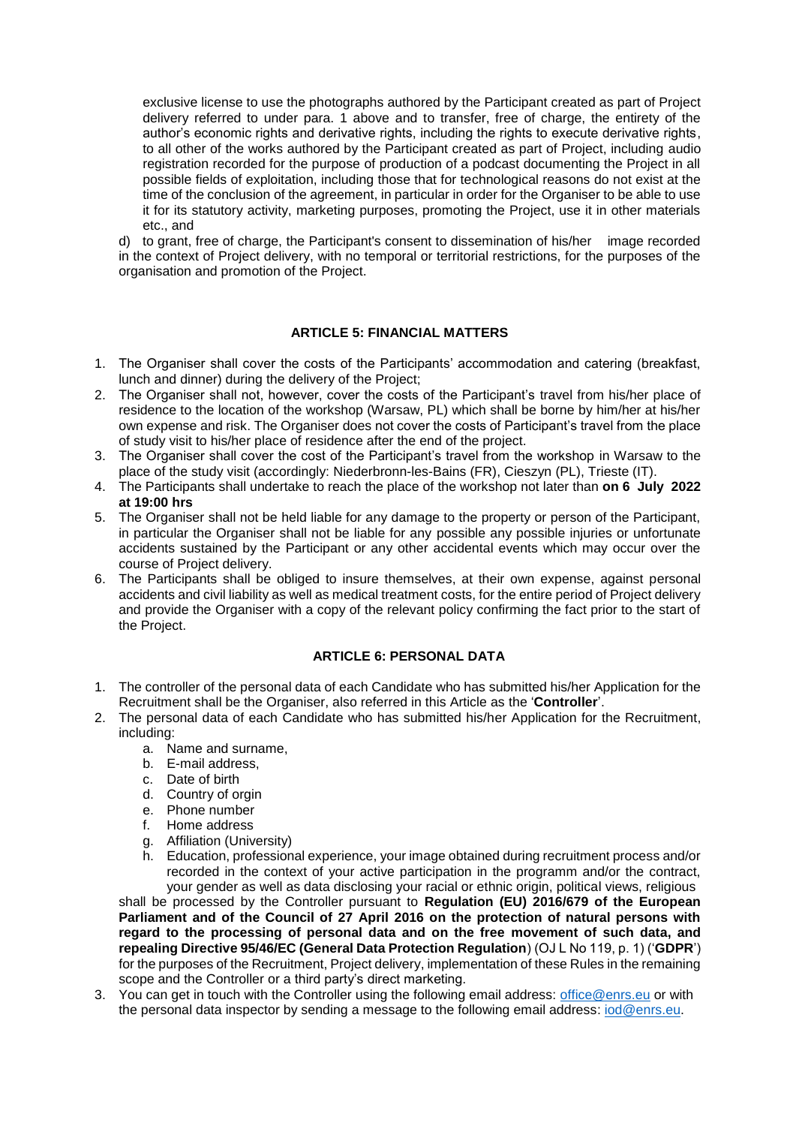exclusive license to use the photographs authored by the Participant created as part of Project delivery referred to under para. 1 above and to transfer, free of charge, the entirety of the author's economic rights and derivative rights, including the rights to execute derivative rights, to all other of the works authored by the Participant created as part of Project, including audio registration recorded for the purpose of production of a podcast documenting the Project in all possible fields of exploitation, including those that for technological reasons do not exist at the time of the conclusion of the agreement, in particular in order for the Organiser to be able to use it for its statutory activity, marketing purposes, promoting the Project, use it in other materials etc., and

d) to grant, free of charge, the Participant's consent to dissemination of his/her image recorded in the context of Project delivery, with no temporal or territorial restrictions, for the purposes of the organisation and promotion of the Project.

# **ARTICLE 5: FINANCIAL MATTERS**

- 1. The Organiser shall cover the costs of the Participants' accommodation and catering (breakfast, lunch and dinner) during the delivery of the Project;
- 2. The Organiser shall not, however, cover the costs of the Participant's travel from his/her place of residence to the location of the workshop (Warsaw, PL) which shall be borne by him/her at his/her own expense and risk. The Organiser does not cover the costs of Participant's travel from the place of study visit to his/her place of residence after the end of the project.
- 3. The Organiser shall cover the cost of the Participant's travel from the workshop in Warsaw to the place of the study visit (accordingly: Niederbronn-les-Bains (FR), Cieszyn (PL), Trieste (IT).
- 4. The Participants shall undertake to reach the place of the workshop not later than **on 6 July 2022 at 19:00 hrs**
- 5. The Organiser shall not be held liable for any damage to the property or person of the Participant, in particular the Organiser shall not be liable for any possible any possible injuries or unfortunate accidents sustained by the Participant or any other accidental events which may occur over the course of Project delivery.
- 6. The Participants shall be obliged to insure themselves, at their own expense, against personal accidents and civil liability as well as medical treatment costs, for the entire period of Project delivery and provide the Organiser with a copy of the relevant policy confirming the fact prior to the start of the Project.

# **ARTICLE 6: PERSONAL DATA**

- 1. The controller of the personal data of each Candidate who has submitted his/her Application for the Recruitment shall be the Organiser, also referred in this Article as the '**Controller**'.
- 2. The personal data of each Candidate who has submitted his/her Application for the Recruitment, including:
	- a. Name and surname,
	- b. E-mail address,
	- c. Date of birth
	- d. Country of orgin
	- e. Phone number
	- f. Home address
	- g. Affiliation (University)
	- h. Education, professional experience, your image obtained during recruitment process and/or recorded in the context of your active participation in the programm and/or the contract, your gender as well as data disclosing your racial or ethnic origin, political views, religious

shall be processed by the Controller pursuant to **Regulation (EU) 2016/679 of the European Parliament and of the Council of 27 April 2016 on the protection of natural persons with regard to the processing of personal data and on the free movement of such data, and repealing Directive 95/46/EC (General Data Protection Regulation**) (OJ L No 119, p. 1) ('**GDPR**') for the purposes of the Recruitment, Project delivery, implementation of these Rules in the remaining scope and the Controller or a third party's direct marketing.

3. You can get in touch with the Controller using the following email address: [office@enrs.eu](mailto:office@enrs.eu) or with the personal data inspector by sending a message to the following email address: [iod@enrs.eu.](mailto:iod@enrs.eu)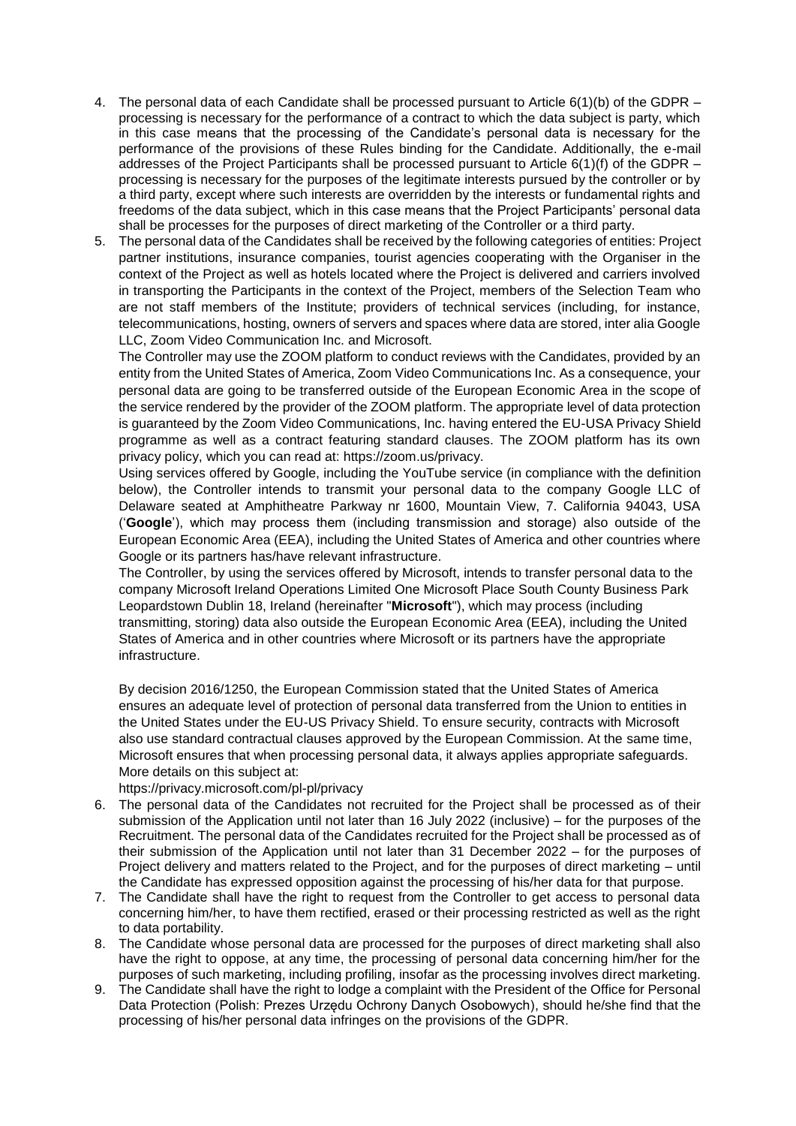- 4. The personal data of each Candidate shall be processed pursuant to Article 6(1)(b) of the GDPR processing is necessary for the performance of a contract to which the data subject is party, which in this case means that the processing of the Candidate's personal data is necessary for the performance of the provisions of these Rules binding for the Candidate. Additionally, the e-mail addresses of the Project Participants shall be processed pursuant to Article  $6(1)(f)$  of the GDPR – processing is necessary for the purposes of the legitimate interests pursued by the controller or by a third party, except where such interests are overridden by the interests or fundamental rights and freedoms of the data subject, which in this case means that the Project Participants' personal data shall be processes for the purposes of direct marketing of the Controller or a third party.
- 5. The personal data of the Candidates shall be received by the following categories of entities: Project partner institutions, insurance companies, tourist agencies cooperating with the Organiser in the context of the Project as well as hotels located where the Project is delivered and carriers involved in transporting the Participants in the context of the Project, members of the Selection Team who are not staff members of the Institute; providers of technical services (including, for instance, telecommunications, hosting, owners of servers and spaces where data are stored, inter alia Google LLC, Zoom Video Communication Inc. and Microsoft.

The Controller may use the ZOOM platform to conduct reviews with the Candidates, provided by an entity from the United States of America, Zoom Video Communications Inc. As a consequence, your personal data are going to be transferred outside of the European Economic Area in the scope of the service rendered by the provider of the ZOOM platform. The appropriate level of data protection is guaranteed by the Zoom Video Communications, Inc. having entered the EU-USA Privacy Shield programme as well as a contract featuring standard clauses. The ZOOM platform has its own privacy policy, which you can read at: https://zoom.us/privacy.

Using services offered by Google, including the YouTube service (in compliance with the definition below), the Controller intends to transmit your personal data to the company Google LLC of Delaware seated at Amphitheatre Parkway nr 1600, Mountain View, 7. California 94043, USA ('**Google**'), which may process them (including transmission and storage) also outside of the European Economic Area (EEA), including the United States of America and other countries where Google or its partners has/have relevant infrastructure.

The Controller, by using the services offered by Microsoft, intends to transfer personal data to the company Microsoft Ireland Operations Limited One Microsoft Place South County Business Park Leopardstown Dublin 18, Ireland (hereinafter "**Microsoft**"), which may process (including transmitting, storing) data also outside the European Economic Area (EEA), including the United States of America and in other countries where Microsoft or its partners have the appropriate infrastructure.

By decision 2016/1250, the European Commission stated that the United States of America ensures an adequate level of protection of personal data transferred from the Union to entities in the United States under the EU-US Privacy Shield. To ensure security, contracts with Microsoft also use standard contractual clauses approved by the European Commission. At the same time, Microsoft ensures that when processing personal data, it always applies appropriate safeguards. More details on this subject at:

https://privacy.microsoft.com/pl-pl/privacy

- 6. The personal data of the Candidates not recruited for the Project shall be processed as of their submission of the Application until not later than 16 July 2022 (inclusive) – for the purposes of the Recruitment. The personal data of the Candidates recruited for the Project shall be processed as of their submission of the Application until not later than 31 December 2022 – for the purposes of Project delivery and matters related to the Project, and for the purposes of direct marketing – until the Candidate has expressed opposition against the processing of his/her data for that purpose.
- 7. The Candidate shall have the right to request from the Controller to get access to personal data concerning him/her, to have them rectified, erased or their processing restricted as well as the right to data portability.
- 8. The Candidate whose personal data are processed for the purposes of direct marketing shall also have the right to oppose, at any time, the processing of personal data concerning him/her for the purposes of such marketing, including profiling, insofar as the processing involves direct marketing.
- 9. The Candidate shall have the right to lodge a complaint with the President of the Office for Personal Data Protection (Polish: Prezes Urzędu Ochrony Danych Osobowych), should he/she find that the processing of his/her personal data infringes on the provisions of the GDPR.